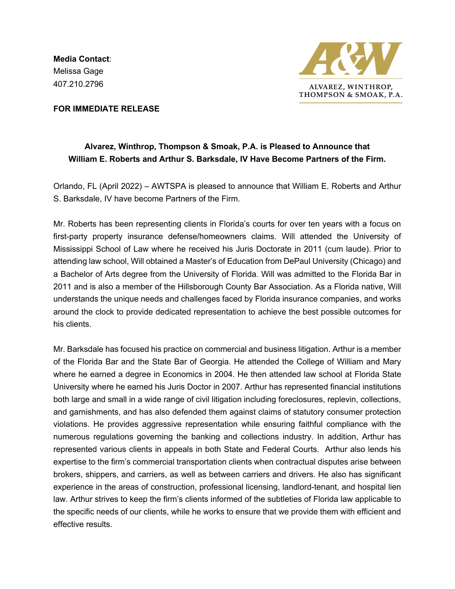**Media Contact**: Melissa Gage 407.210.2796



**FOR IMMEDIATE RELEASE**

## **Alvarez, Winthrop, Thompson & Smoak, P.A. is Pleased to Announce that William E. Roberts and Arthur S. Barksdale, IV Have Become Partners of the Firm.**

Orlando, FL (April 2022) – AWTSPA is pleased to announce that William E. Roberts and Arthur S. Barksdale, IV have become Partners of the Firm.

Mr. Roberts has been representing clients in Florida's courts for over ten years with a focus on first-party property insurance defense/homeowners claims. Will attended the University of Mississippi School of Law where he received his Juris Doctorate in 2011 (cum laude). Prior to attending law school, Will obtained a Master's of Education from DePaul University (Chicago) and a Bachelor of Arts degree from the University of Florida. Will was admitted to the Florida Bar in 2011 and is also a member of the Hillsborough County Bar Association. As a Florida native, Will understands the unique needs and challenges faced by Florida insurance companies, and works around the clock to provide dedicated representation to achieve the best possible outcomes for his clients.

Mr. Barksdale has focused his practice on commercial and business litigation. Arthur is a member of the Florida Bar and the State Bar of Georgia. He attended the College of William and Mary where he earned a degree in Economics in 2004. He then attended law school at Florida State University where he earned his Juris Doctor in 2007. Arthur has represented financial institutions both large and small in a wide range of civil litigation including foreclosures, replevin, collections, and garnishments, and has also defended them against claims of statutory consumer protection violations. He provides aggressive representation while ensuring faithful compliance with the numerous regulations governing the banking and collections industry. In addition, Arthur has represented various clients in appeals in both State and Federal Courts. Arthur also lends his expertise to the firm's commercial transportation clients when contractual disputes arise between brokers, shippers, and carriers, as well as between carriers and drivers. He also has significant experience in the areas of construction, professional licensing, landlord-tenant, and hospital lien law. Arthur strives to keep the firm's clients informed of the subtleties of Florida law applicable to the specific needs of our clients, while he works to ensure that we provide them with efficient and effective results.